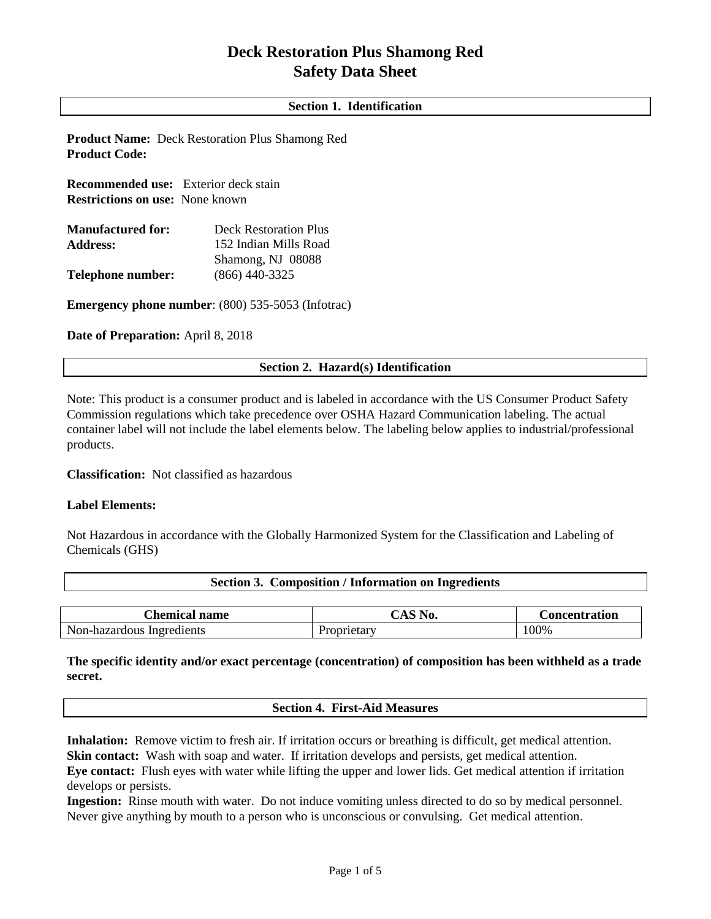# **Deck Restoration Plus Shamong Red Safety Data Sheet**

# **Section 1. Identification**

**Product Name:** Deck Restoration Plus Shamong Red **Product Code:**

**Recommended use:** Exterior deck stain **Restrictions on use:** None known

| <b>Manufactured for:</b> | Deck Restoration Plus |  |
|--------------------------|-----------------------|--|
| <b>Address:</b>          | 152 Indian Mills Road |  |
|                          | Shamong, NJ 08088     |  |
| Telephone number:        | $(866)$ 440-3325      |  |

**Emergency phone number**: (800) 535-5053 (Infotrac)

**Date of Preparation:** April 8, 2018

# **Section 2. Hazard(s) Identification**

Note: This product is a consumer product and is labeled in accordance with the US Consumer Product Safety Commission regulations which take precedence over OSHA Hazard Communication labeling. The actual container label will not include the label elements below. The labeling below applies to industrial/professional products.

**Classification:** Not classified as hazardous

## **Label Elements:**

Not Hazardous in accordance with the Globally Harmonized System for the Classification and Labeling of Chemicals (GHS)

| Section 3. Composition / Information on Ingredients |                             |  |  |  |
|-----------------------------------------------------|-----------------------------|--|--|--|
|                                                     |                             |  |  |  |
|                                                     | $\sim$ $\sim$ $\sim$ $\sim$ |  |  |  |

| hemical name.'            | CAS.<br>NO. | Concentration |
|---------------------------|-------------|---------------|
| Non-hazardous Ingredients | -roprietary | 100%          |

# **The specific identity and/or exact percentage (concentration) of composition has been withheld as a trade secret.**

**Section 4. First-Aid Measures**

**Inhalation:** Remove victim to fresh air. If irritation occurs or breathing is difficult, get medical attention. **Skin contact:** Wash with soap and water. If irritation develops and persists, get medical attention.

**Eye contact:** Flush eyes with water while lifting the upper and lower lids. Get medical attention if irritation develops or persists.

**Ingestion:** Rinse mouth with water. Do not induce vomiting unless directed to do so by medical personnel. Never give anything by mouth to a person who is unconscious or convulsing. Get medical attention.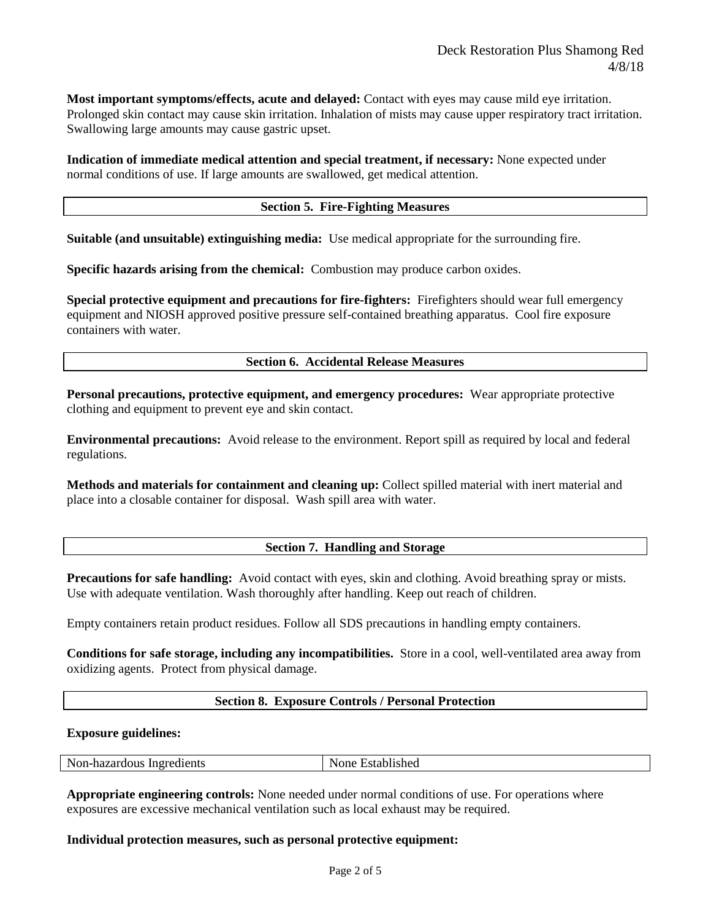**Most important symptoms/effects, acute and delayed:** Contact with eyes may cause mild eye irritation. Prolonged skin contact may cause skin irritation. Inhalation of mists may cause upper respiratory tract irritation. Swallowing large amounts may cause gastric upset.

**Indication of immediate medical attention and special treatment, if necessary:** None expected under normal conditions of use. If large amounts are swallowed, get medical attention.

## **Section 5. Fire-Fighting Measures**

**Suitable (and unsuitable) extinguishing media:** Use medical appropriate for the surrounding fire.

**Specific hazards arising from the chemical:** Combustion may produce carbon oxides.

**Special protective equipment and precautions for fire-fighters:** Firefighters should wear full emergency equipment and NIOSH approved positive pressure self-contained breathing apparatus. Cool fire exposure containers with water.

## **Section 6. Accidental Release Measures**

**Personal precautions, protective equipment, and emergency procedures:** Wear appropriate protective clothing and equipment to prevent eye and skin contact.

**Environmental precautions:** Avoid release to the environment. Report spill as required by local and federal regulations.

**Methods and materials for containment and cleaning up:** Collect spilled material with inert material and place into a closable container for disposal. Wash spill area with water.

# **Section 7. Handling and Storage**

**Precautions for safe handling:** Avoid contact with eyes, skin and clothing. Avoid breathing spray or mists. Use with adequate ventilation. Wash thoroughly after handling. Keep out reach of children.

Empty containers retain product residues. Follow all SDS precautions in handling empty containers.

**Conditions for safe storage, including any incompatibilities.** Store in a cool, well-ventilated area away from oxidizing agents. Protect from physical damage.

## **Section 8. Exposure Controls / Personal Protection**

## **Exposure guidelines:**

| Non-<br>-hazardous<br>Ingredients | --<br>usnec<br>ма |
|-----------------------------------|-------------------|
|                                   |                   |

**Appropriate engineering controls:** None needed under normal conditions of use. For operations where exposures are excessive mechanical ventilation such as local exhaust may be required.

## **Individual protection measures, such as personal protective equipment:**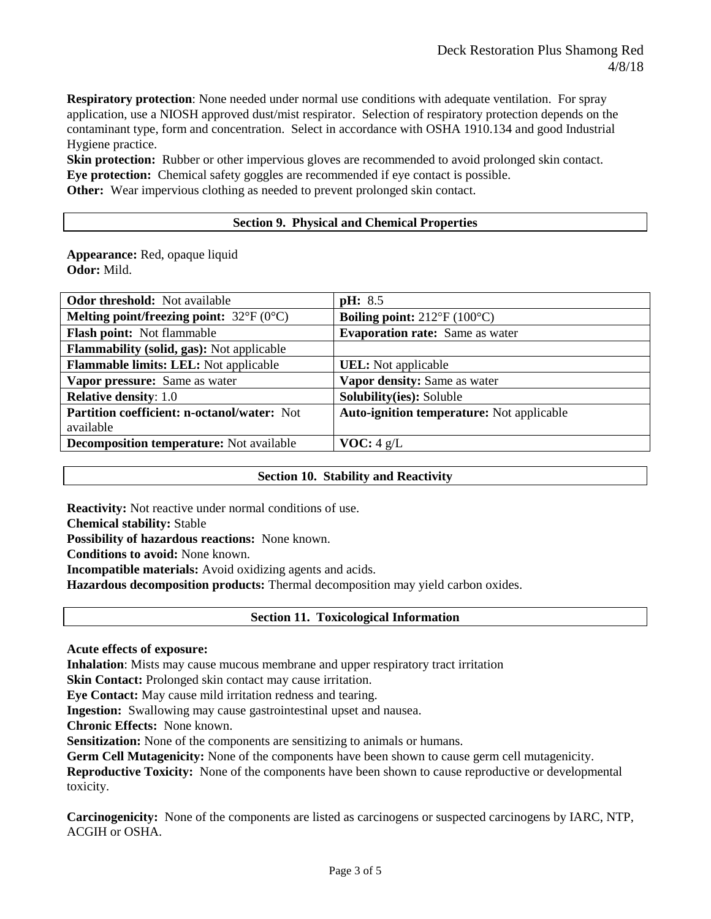**Respiratory protection**: None needed under normal use conditions with adequate ventilation. For spray application, use a NIOSH approved dust/mist respirator. Selection of respiratory protection depends on the contaminant type, form and concentration. Select in accordance with OSHA 1910.134 and good Industrial Hygiene practice.

**Skin protection:** Rubber or other impervious gloves are recommended to avoid prolonged skin contact. **Eye protection:** Chemical safety goggles are recommended if eye contact is possible. **Other:** Wear impervious clothing as needed to prevent prolonged skin contact.

## **Section 9. Physical and Chemical Properties**

**Appearance:** Red, opaque liquid **Odor:** Mild.

| <b>Odor threshold:</b> Not available                    | <b>pH</b> : 8.5                                    |
|---------------------------------------------------------|----------------------------------------------------|
| Melting point/freezing point: $32^{\circ}F(0^{\circ}C)$ | <b>Boiling point:</b> $212^{\circ}F(100^{\circ}C)$ |
| Flash point: Not flammable                              | <b>Evaporation rate:</b> Same as water             |
| <b>Flammability (solid, gas):</b> Not applicable        |                                                    |
| Flammable limits: LEL: Not applicable                   | <b>UEL</b> : Not applicable                        |
| Vapor pressure: Same as water                           | Vapor density: Same as water                       |
| <b>Relative density: 1.0</b>                            | Solubility(ies): Soluble                           |
| <b>Partition coefficient: n-octanol/water: Not</b>      | Auto-ignition temperature: Not applicable          |
| available                                               |                                                    |
| <b>Decomposition temperature:</b> Not available         | <b>VOC:</b> $4 \text{ g/L}$                        |
|                                                         |                                                    |

# **Section 10. Stability and Reactivity**

**Reactivity:** Not reactive under normal conditions of use.

**Chemical stability:** Stable

**Possibility of hazardous reactions:** None known.

**Conditions to avoid:** None known.

**Incompatible materials:** Avoid oxidizing agents and acids.

**Hazardous decomposition products:** Thermal decomposition may yield carbon oxides.

# **Section 11. Toxicological Information**

## **Acute effects of exposure:**

**Inhalation**: Mists may cause mucous membrane and upper respiratory tract irritation

**Skin Contact:** Prolonged skin contact may cause irritation.

**Eye Contact:** May cause mild irritation redness and tearing.

**Ingestion:** Swallowing may cause gastrointestinal upset and nausea.

**Chronic Effects:** None known.

**Sensitization:** None of the components are sensitizing to animals or humans.

**Germ Cell Mutagenicity:** None of the components have been shown to cause germ cell mutagenicity.

**Reproductive Toxicity:** None of the components have been shown to cause reproductive or developmental toxicity.

**Carcinogenicity:** None of the components are listed as carcinogens or suspected carcinogens by IARC, NTP, ACGIH or OSHA.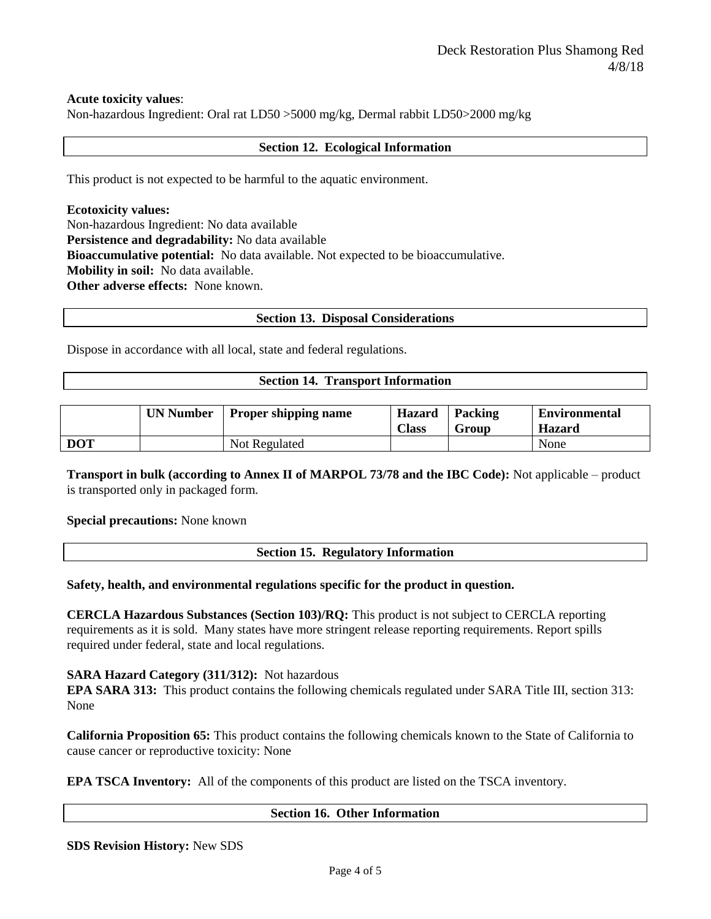## **Acute toxicity values**:

Non-hazardous Ingredient: Oral rat LD50 >5000 mg/kg, Dermal rabbit LD50>2000 mg/kg

## **Section 12. Ecological Information**

This product is not expected to be harmful to the aquatic environment.

**Ecotoxicity values:** Non-hazardous Ingredient: No data available **Persistence and degradability:** No data available **Bioaccumulative potential:** No data available. Not expected to be bioaccumulative. **Mobility in soil:** No data available. **Other adverse effects:** None known.

## **Section 13. Disposal Considerations**

Dispose in accordance with all local, state and federal regulations.

## **Section 14. Transport Information**

|            | <b>UN Number</b> | <b>Proper shipping name</b> | <b>Hazard</b><br><b>Class</b> | Packing<br>Group | <b>Environmental</b><br><b>Hazard</b> |
|------------|------------------|-----------------------------|-------------------------------|------------------|---------------------------------------|
| <b>DOT</b> |                  | Not Regulated               |                               |                  | None                                  |

**Transport in bulk (according to Annex II of MARPOL 73/78 and the IBC Code):** Not applicable – product is transported only in packaged form.

## **Special precautions:** None known

| <b>Section 15. Regulatory Information</b> |
|-------------------------------------------|
|                                           |

## **Safety, health, and environmental regulations specific for the product in question.**

**CERCLA Hazardous Substances (Section 103)/RQ:** This product is not subject to CERCLA reporting requirements as it is sold. Many states have more stringent release reporting requirements. Report spills required under federal, state and local regulations.

## **SARA Hazard Category (311/312):** Not hazardous

**EPA SARA 313:** This product contains the following chemicals regulated under SARA Title III, section 313: None

**California Proposition 65:** This product contains the following chemicals known to the State of California to cause cancer or reproductive toxicity: None

**EPA TSCA Inventory:** All of the components of this product are listed on the TSCA inventory.

## **Section 16. Other Information**

**SDS Revision History:** New SDS